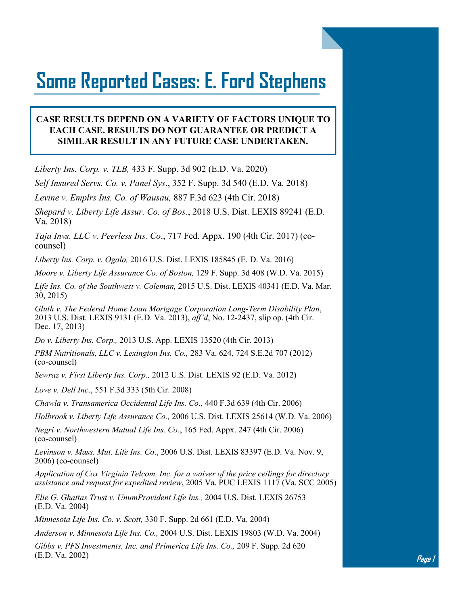## **Some Reported Cases: E. Ford Stephens**

## **CASE RESULTS DEPEND ON A VARIETY OF FACTORS UNIQUE TO EACH CASE. RESULTS DO NOT GUARANTEE OR PREDICT A SIMILAR RESULT IN ANY FUTURE CASE UNDERTAKEN.**

*Liberty Ins. Corp. v. TLB,* 433 F. Supp. 3d 902 (E.D. Va. 2020)

*Self Insured Servs. Co. v. Panel Sys*., 352 F. Supp. 3d 540 (E.D. Va. 2018)

*Levine v. Emplrs Ins. Co. of Wausau,* 887 F.3d 623 (4th Cir. 2018)

*Shepard v. Liberty Life Assur. Co. of Bos*., 2018 U.S. Dist. LEXIS 89241 (E.D. Va. 2018)

*Taja Invs. LLC v. Peerless Ins. Co*., 717 Fed. Appx. 190 (4th Cir. 2017) (cocounsel)

*Liberty Ins. Corp. v. Ogalo,* 2016 U.S. Dist. LEXIS 185845 (E. D. Va. 2016)

*Moore v. Liberty Life Assurance Co. of Boston,* 129 F. Supp. 3d 408 (W.D. Va. 2015)

*Life Ins. Co. of the Southwest v. Coleman,* 2015 U.S. Dist. LEXIS 40341 (E.D. Va. Mar. 30, 2015)

*Gluth v. The Federal Home Loan Mortgage Corporation Long-Term Disability Plan*, 2013 U.S. Dist. LEXIS 9131 (E.D. Va. 2013), *aff'd*, No. 12-2437, slip op. (4th Cir. Dec. 17, 2013)

*Do v. Liberty Ins. Corp.,* 2013 U.S. App. LEXIS 13520 (4th Cir. 2013)

*PBM Nutritionals, LLC v. Lexington Ins. Co.,* 283 Va. 624, 724 S.E.2d 707 (2012) (co-counsel)

*Sewraz v. First Liberty Ins. Corp.,* 2012 U.S. Dist. LEXIS 92 (E.D. Va. 2012)

*Love v. Dell Inc*., 551 F.3d 333 (5th Cir. 2008)

*Chawla v. Transamerica Occidental Life Ins. Co.,* 440 F.3d 639 (4th Cir. 2006)

*Holbrook v. Liberty Life Assurance Co.,* 2006 U.S. Dist. LEXIS 25614 (W.D. Va. 2006)

*Negri v. Northwestern Mutual Life Ins. Co*., 165 Fed. Appx. 247 (4th Cir. 2006) (co-counsel)

*Levinson v. Mass. Mut. Life Ins. Co*., 2006 U.S. Dist. LEXIS 83397 (E.D. Va. Nov. 9, 2006) (co-counsel)

*Application of Cox Virginia Telcom, Inc. for a waiver of the price ceilings for directory assistance and request for expedited review*, 2005 Va. PUC LEXIS 1117 (Va. SCC 2005)

*Elie G. Ghattas Trust v. UnumProvident Life Ins.,* 2004 U.S. Dist. LEXIS 26753 (E.D. Va. 2004)

*Minnesota Life Ins. Co. v. Scott,* 330 F. Supp. 2d 661 (E.D. Va. 2004)

*Anderson v. Minnesota Life Ins. Co.,* 2004 U.S. Dist. LEXIS 19803 (W.D. Va. 2004)

*Gibbs v. PFS Investments, Inc. and Primerica Life Ins. Co.,* 209 F. Supp. 2d 620 (E.D. Va. 2002)